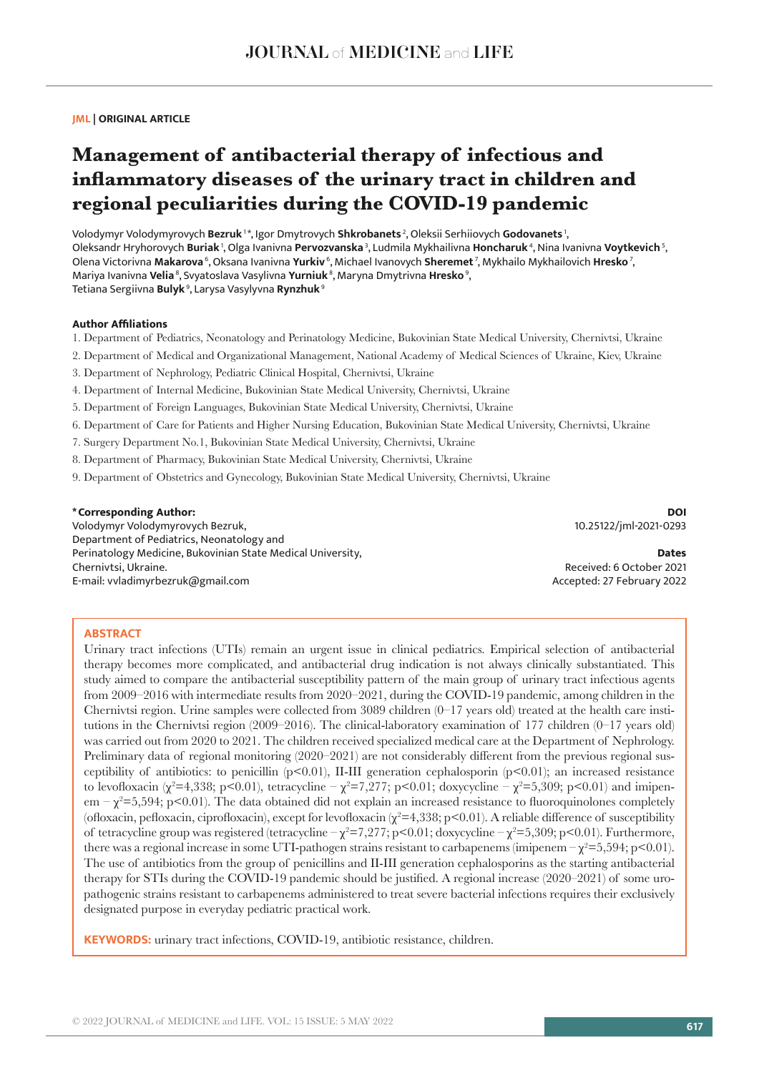## **JML | ORIGINAL ARTICLE**

# **Management of antibacterial therapy of infectious and inflammatory diseases of the urinary tract in children and regional peculiarities during the COVID-19 pandemic**

Volodymyr Volodymyrovych **Bezruk** 1 \*, Igor Dmytrovych **Shkrobanets** 2, Oleksii Serhiiovych **Godovanets** 1, Oleksandr Hryhorovych **Buriak** 1, Olga Ivanivna **Pervozvanska** 3, Ludmila Mykhailivna **Honcharuk** 4, Nina Ivanivna **Voytkevich** 5, Olena Victorivna **Makarova** 6, Oksana Ivanivna **Yurkiv** 6, Michael Ivanovych **Sheremet** 7, Mykhailo Mykhailovich **Hresko** 7, Mariya Ivanivna **Velia** 8, Svyatoslava Vasylivna **Yurniuk** 8, Maryna Dmytrivna **Hresko** 9, Tetiana Sergiivna **Bulyk** 9, Larysa Vasylyvna **Rynzhuk**<sup>9</sup>

### **Author Affiliations**

- 1. Department of Pediatrics, Neonatology and Perinatology Medicine, Bukovinian State Medical University, Chernivtsi, Ukraine
- 2. Department of Medical and Organizational Management, National Academy of Medical Sciences of Ukraine, Kiev, Ukraine
- 3. Department of Nephrology, Рediatric Clinical Hospital, Chernivtsi, Ukraine
- 4. Department of Internal Medicine, Bukovinian State Medical University, Chernivtsi, Ukraine
- 5. Department of Foreign Languages, Bukovinian State Medical University, Chernivtsi, Ukraine
- 6. Department of Care for Patients and Higher Nursing Education, Bukovinian State Medical University, Chernivtsi, Ukraine
- 7. Surgery Department No.1, Bukovinian State Medical University, Chernivtsi, Ukraine
- 8. Department of Pharmacy, Bukovinian State Medical University, Chernivtsi, Ukraine
- 9. Department of Obstetrics and Gynecology, Bukovinian State Medical University, Chernivtsi, Ukraine

## **\*Corresponding Author:**

Volodymyr Volodymyrovych Bezruk, Department of Pediatrics, Neonatology and Perinatology Medicine, Bukovinian State Medical University, Chernivtsi, Ukraine. E-mail: vvladimyrbezruk@gmail.com

**DOI** 10.25122/jml-2021-0293

**Dates** Received: 6 October 2021 Accepted: 27 February 2022

## **ABSTRACT**

Urinary tract infections (UTIs) remain an urgent issue in clinical pediatrics. Empirical selection of antibacterial therapy becomes more complicated, and antibacterial drug indication is not always clinically substantiated. This study aimed to compare the antibacterial susceptibility pattern of the main group of urinary tract infectious agents from 2009–2016 with intermediate results from 2020–2021, during the COVID-19 pandemic, among children in the Chernivtsi region. Urine samples were collected from 3089 children  $(0-17)$  years old) treated at the health care institutions in the Chernivtsi region (2009–2016). The clinical-laboratory examination of 177 children (0–17 years old) was carried out from 2020 to 2021. The children received specialized medical care at the Department of Nephrology. Preliminary data of regional monitoring (2020–2021) are not considerably different from the previous regional susceptibility of antibiotics: to penicillin  $(p<0.01)$ , II-III generation cephalosporin  $(p<0.01)$ ; an increased resistance to levofloxacin (χ<sup>2</sup>=4,338; p<0.01), tetracycline – χ<sup>2</sup>=7,277; p<0.01; doxycycline – χ<sup>2</sup>=5,309; p<0.01) and imipen $em - \chi^2 = 5,594$ ; p<0.01). The data obtained did not explain an increased resistance to fluoroquinolones completely (ofloxacin, pefloxacin, ciprofloxacin), except for levofloxacin  $(\chi^2=4,338; p<0.01)$ . A reliable difference of susceptibility of tetracycline group was registered (tetracycline –  $\chi^2$ =7,277; p<0.01; doxycycline –  $\chi^2$ =5,309; p<0.01). Furthermore, there was a regional increase in some UTI-pathogen strains resistant to carbapenems (imipenem  $-\chi^2=5,594; p<0.01$ ). The use of antibiotics from the group of penicillins and II-III generation cephalosporins as the starting antibacterial therapy for STIs during the COVID-19 pandemic should be justified. A regional increase (2020–2021) of some uropathogenic strains resistant to carbapenems administered to treat severe bacterial infections requires their exclusively designated purpose in everyday pediatric practical work.

**KEYWORDS:** urinary tract infections, COVID-19, antibiotic resistance, children.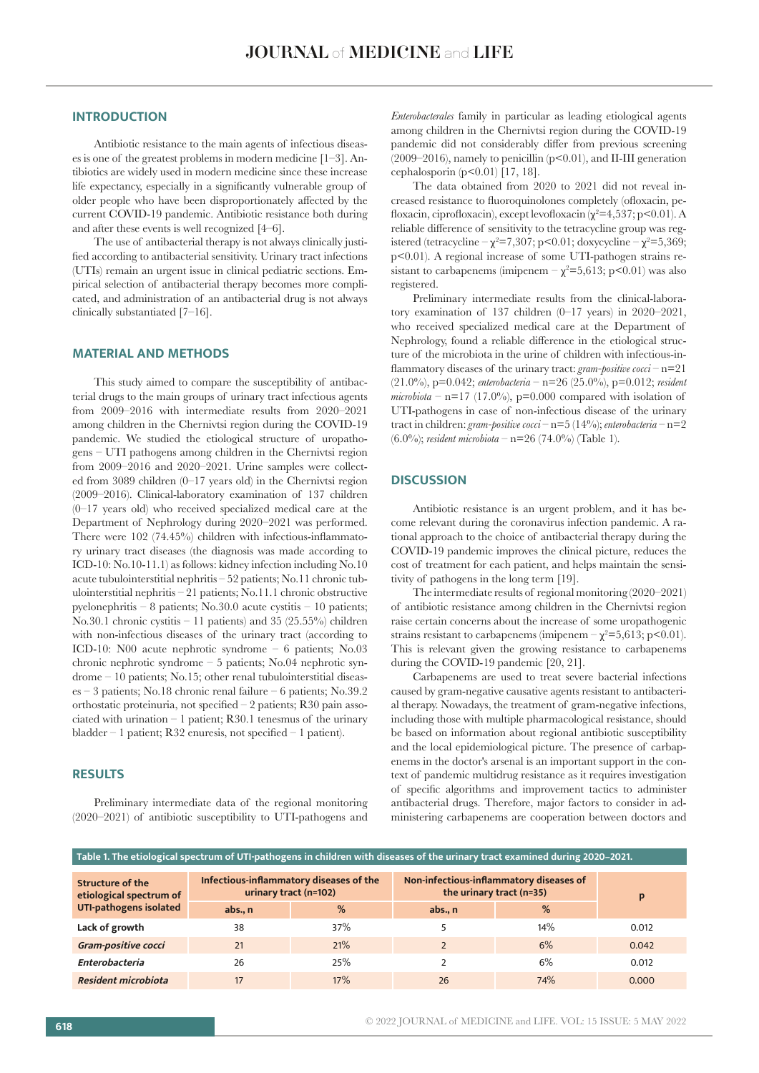# **INTRODUCTION**

Antibiotic resistance to the main agents of infectious diseases is one of the greatest problems in modern medicine [1–3]. Antibiotics are widely used in modern medicine since these increase life expectancy, especially in a significantly vulnerable group of older people who have been disproportionately affected by the current COVID-19 pandemic. Antibiotic resistance both during and after these events is well recognized [4–6].

The use of antibacterial therapy is not always clinically justified according to antibacterial sensitivity. Urinary tract infections (UTIs) remain an urgent issue in clinical pediatric sections. Empirical selection of antibacterial therapy becomes more complicated, and administration of an antibacterial drug is not always clinically substantiated [7–16].

## **MATERIAL AND METHODS**

This study aimed to compare the susceptibility of antibacterial drugs to the main groups of urinary tract infectious agents from 2009–2016 with intermediate results from 2020–2021 among children in the Chernivtsi region during the COVID-19 pandemic. We studied the etiological structure of uropathogens – UTI pathogens among children in the Chernivtsi region from 2009–2016 and 2020–2021. Urine samples were collected from 3089 children (0–17 years old) in the Chernivtsi region (2009–2016). Clinical-laboratory examination of 137 children (0–17 years old) who received specialized medical care at the Department of Nephrology during 2020–2021 was performed. There were 102 (74.45%) children with infectious-inflammatory urinary tract diseases (the diagnosis was made according to ICD-10: No.10-11.1) as follows: kidney infection including No.10 acute tubulointerstitial nephritis – 52 patients; No.11 chronic tubulointerstitial nephritis – 21 patients; No.11.1 chronic obstructive pyelonephritis – 8 patients; No.30.0 acute cystitis – 10 patients; No.30.1 chronic cystitis – 11 patients) and 35 (25.55%) children with non-infectious diseases of the urinary tract (according to ICD-10: N00 acute nephrotic syndrome – 6 patients; No.03 chronic nephrotic syndrome – 5 patients; No.04 nephrotic syndrome – 10 patients; No.15; other renal tubulointerstitial diseases – 3 patients; No.18 chronic renal failure – 6 patients; No.39.2 orthostatic proteinuria, not specified – 2 patients; R30 pain associated with urination  $-1$  patient; R30.1 tenesmus of the urinary bladder – 1 patient; R32 enuresis, not specified – 1 patient).

## **RESULTS**

Preliminary intermediate data of the regional monitoring (2020–2021) of antibiotic susceptibility to UTI-pathogens and

*Enterobacterales* family in particular as leading etiological agents among children in the Chernivtsi region during the COVID-19 pandemic did not considerably differ from previous screening (2009–2016), namely to penicillin (р<0.01), and ІІ-ІІІ generation cephalosporin  $(p<0.01)$  [17, 18].

The data obtained from 2020 to 2021 did not reveal increased resistance to fluoroquinolones completely (ofloxacin, pefloxacin, ciprofloxacin), except levofloxacin ( $\chi^2$ =4,537; p<0.01). A reliable difference of sensitivity to the tetracycline group was registered (tetracycline  $-\chi^2 = 7,307$ ; p<0.01; doxycycline  $-\chi^2 = 5,369$ ; p<0.01). A regional increase of some UTI-pathogen strains resistant to carbapenems (imipenem  $-\chi^2 = 5,613$ ; p<0.01) was also registered.

Preliminary intermediate results from the clinical-laboratory examination of 137 children (0–17 years) in 2020–2021, who received specialized medical care at the Department of Nephrology, found a reliable difference in the etiological structure of the microbiota in the urine of children with infectious-inflammatory diseases of the urinary tract: *gram-positive cocci* – n=21 (21.0%), p=0.042; *enterobacteria* – n=26 (25.0%), p=0.012; *resident microbiota* –  $n=17$  (17.0%),  $p=0.000$  compared with isolation of UTI-pathogens in case of non-infectious disease of the urinary tract in children: *gram-positive cocci* – n=5 (14%); *enterobacteria* – n=2 (6.0%); *resident microbiota* – n=26 (74.0%) (Table 1).

# **DISCUSSION**

Antibiotic resistance is an urgent problem, and it has become relevant during the coronavirus infection pandemic. A rational approach to the choice of antibacterial therapy during the COVID-19 pandemic improves the clinical picture, reduces the cost of treatment for each patient, and helps maintain the sensitivity of pathogens in the long term [19].

The intermediate results of regional monitoring (2020–2021) of antibiotic resistance among children in the Chernivtsi region raise certain concerns about the increase of some uropathogenic strains resistant to carbapenems (imipenem  $-\chi^2 = 5{,}613$ ; p<0.01). This is relevant given the growing resistance to carbapenems during the COVID-19 pandemic [20, 21].

Carbapenems are used to treat severe bacterial infections caused by gram-negative causative agents resistant to antibacterial therapy. Nowadays, the treatment of gram-negative infections, including those with multiple pharmacological resistance, should be based on information about regional antibiotic susceptibility and the local epidemiological picture. The presence of carbapenems in the doctor's arsenal is an important support in the context of pandemic multidrug resistance as it requires investigation of specific algorithms and improvement tactics to administer antibacterial drugs. Therefore, major factors to consider in administering carbapenems are cooperation between doctors and

| Table 1. The etiological spectrum of UTI-pathogens in children with diseases of the urinary tract examined during 2020-2021. |                                                                  |     |                                                                     |     |       |
|------------------------------------------------------------------------------------------------------------------------------|------------------------------------------------------------------|-----|---------------------------------------------------------------------|-----|-------|
| Structure of the<br>etiological spectrum of<br>UTI-pathogens isolated                                                        | Infectious-inflammatory diseases of the<br>urinary tract (n=102) |     | Non-infectious-inflammatory diseases of<br>the urinary tract (n=35) |     | p     |
|                                                                                                                              | abs., n                                                          | %   | abs., n                                                             | %   |       |
| Lack of growth                                                                                                               | 38                                                               | 37% |                                                                     | 14% | 0.012 |
| Gram-positive cocci                                                                                                          | 21                                                               | 21% |                                                                     | 6%  | 0.042 |
| Enterobacteria                                                                                                               | 26                                                               | 25% |                                                                     | 6%  | 0.012 |
| Resident microbiota                                                                                                          | 17                                                               | 17% | 26                                                                  | 74% | 0.000 |